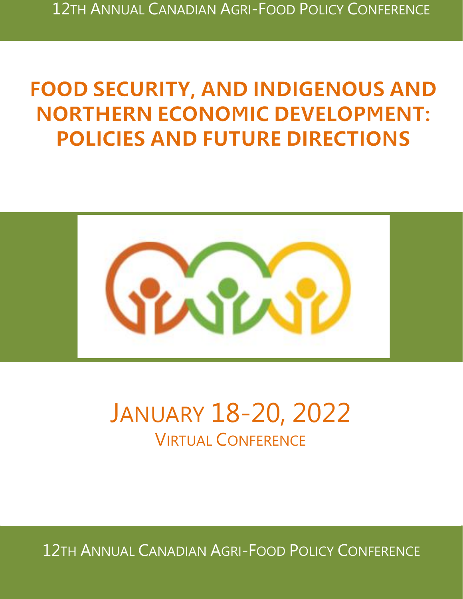# **FOOD SECURITY, AND INDIGENOUS AND NORTHERN ECONOMIC DEVELOPMENT: POLICIES AND FUTURE DIRECTIONS**



# JANUARY 18-20, 2022 VIRTUAL CONFERENCE

*Food Security, and Indigenous and Northern Economic Development: Policies and Future Directions* 12TH ANNUAL CANADIAN AGRI-FOOD POLICY CONFERENCE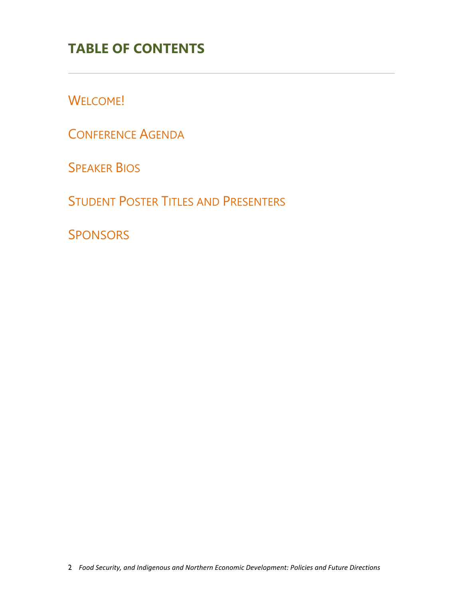# **TABLE OF CONTENTS**

W[ELCOME](#page-2-0)!

C[ONFERENCE](#page-4-0) AGENDA

SPEAKER BIOS

STUDENT POSTER TITLES AND P[RESENTERS](#page-10-0)

**SPONSORS**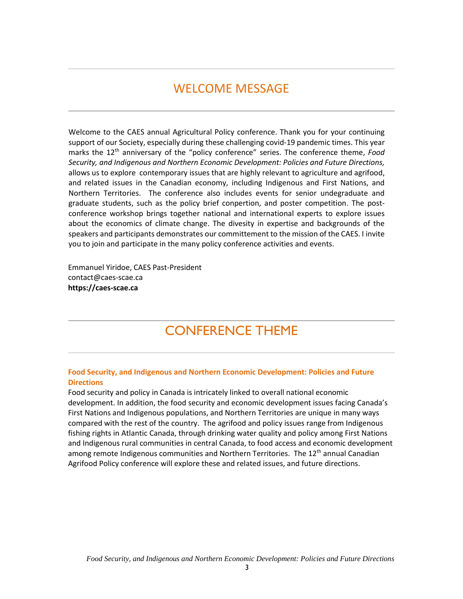#### WELCOME MESSAGE

<span id="page-2-0"></span>Welcome to the CAES annual Agricultural Policy conference. Thank you for your continuing support of our Society, especially during these challenging covid-19 pandemic times. This year marks the 12<sup>th</sup> anniversary of the "policy conference" series. The conference theme, *Food Security, and Indigenous and Northern Economic Development: Policies and Future Directions,* allows us to explore contemporary issues that are highly relevant to agriculture and agrifood, and related issues in the Canadian economy, including Indigenous and First Nations, and Northern Territories. The conference also includes events for senior undegraduate and graduate students, such as the policy brief conpertion, and poster competition. The postconference workshop brings together national and international experts to explore issues about the economics of climate change. The divesity in expertise and backgrounds of the speakers and participants demonstrates our committement to the mission of the CAES. I invite you to join and participate in the many policy conference activities and events.

Emmanuel Yiridoe, CAES Past-President contact@caes-scae.ca **https://caes-scae.ca**

# CONFERENCE THEME

#### **Food Security, and Indigenous and Northern Economic Development: Policies and Future Directions**

Food security and policy in Canada is intricately linked to overall national economic development. In addition, the food security and economic development issues facing Canada's First Nations and Indigenous populations, and Northern Territories are unique in many ways compared with the rest of the country. The agrifood and policy issues range from Indigenous fishing rights in Atlantic Canada, through drinking water quality and policy among First Nations and Indigenous rural communities in central Canada, to food access and economic development among remote Indigenous communities and Northern Territories. The 12<sup>th</sup> annual Canadian Agrifood Policy conference will explore these and related issues, and future directions.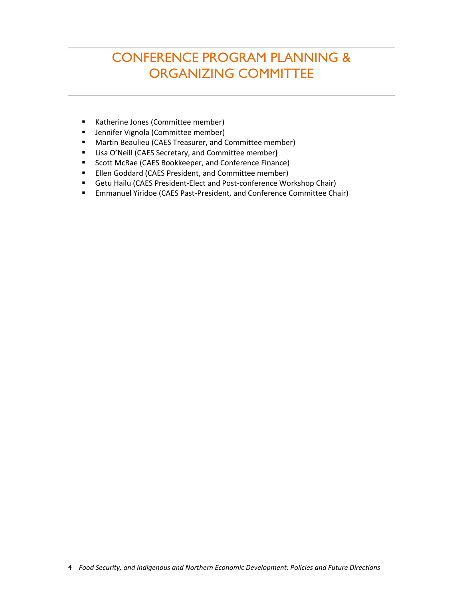# CONFERENCE PROGRAM PLANNING & ORGANIZING COMMITTEE

- Katherine Jones (Committee member)
- Jennifer Vignola (Committee member)
- Martin Beaulieu (CAES Treasurer, and Committee member)
- Lisa O'Neill (CAES Secretary, and Committee member**)**
- Scott McRae (CAES Bookkeeper, and Conference Finance)
- Ellen Goddard (CAES President, and Committee member)
- Getu Hailu (CAES President-Elect and Post-conference Workshop Chair)
- Emmanuel Yiridoe (CAES Past-President, and Conference Committee Chair)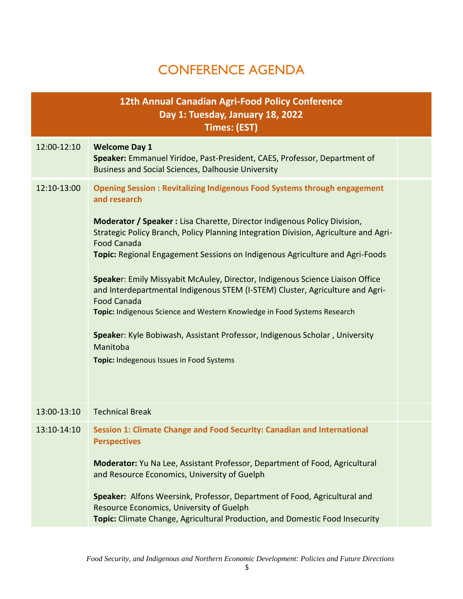# CONFERENCE AGENDA

<span id="page-4-0"></span>

|             | 12th Annual Canadian Agri-Food Policy Conference<br>Day 1: Tuesday, January 18, 2022<br><b>Times: (EST)</b>                                                                                                                                                                                                                                                                                                                                                                                                                                                                                                                                                                                                                                                                           |  |
|-------------|---------------------------------------------------------------------------------------------------------------------------------------------------------------------------------------------------------------------------------------------------------------------------------------------------------------------------------------------------------------------------------------------------------------------------------------------------------------------------------------------------------------------------------------------------------------------------------------------------------------------------------------------------------------------------------------------------------------------------------------------------------------------------------------|--|
| 12:00-12:10 | <b>Welcome Day 1</b><br>Speaker: Emmanuel Yiridoe, Past-President, CAES, Professor, Department of<br><b>Business and Social Sciences, Dalhousie University</b>                                                                                                                                                                                                                                                                                                                                                                                                                                                                                                                                                                                                                        |  |
| 12:10-13:00 | <b>Opening Session: Revitalizing Indigenous Food Systems through engagement</b><br>and research<br>Moderator / Speaker : Lisa Charette, Director Indigenous Policy Division,<br>Strategic Policy Branch, Policy Planning Integration Division, Agriculture and Agri-<br><b>Food Canada</b><br>Topic: Regional Engagement Sessions on Indigenous Agriculture and Agri-Foods<br>Speaker: Emily Missyabit McAuley, Director, Indigenous Science Liaison Office<br>and Interdepartmental Indigenous STEM (I-STEM) Cluster, Agriculture and Agri-<br><b>Food Canada</b><br>Topic: Indigenous Science and Western Knowledge in Food Systems Research<br>Speaker: Kyle Bobiwash, Assistant Professor, Indigenous Scholar, University<br>Manitoba<br>Topic: Indegenous Issues in Food Systems |  |
| 13:00-13:10 | <b>Technical Break</b>                                                                                                                                                                                                                                                                                                                                                                                                                                                                                                                                                                                                                                                                                                                                                                |  |
|             | 13:10-14:10 Session 1: Climate Change and Food Security: Canadian and International<br><b>Perspectives</b><br>Moderator: Yu Na Lee, Assistant Professor, Department of Food, Agricultural<br>and Resource Economics, University of Guelph<br>Speaker: Alfons Weersink, Professor, Department of Food, Agricultural and<br>Resource Economics, University of Guelph                                                                                                                                                                                                                                                                                                                                                                                                                    |  |
|             | Topic: Climate Change, Agricultural Production, and Domestic Food Insecurity                                                                                                                                                                                                                                                                                                                                                                                                                                                                                                                                                                                                                                                                                                          |  |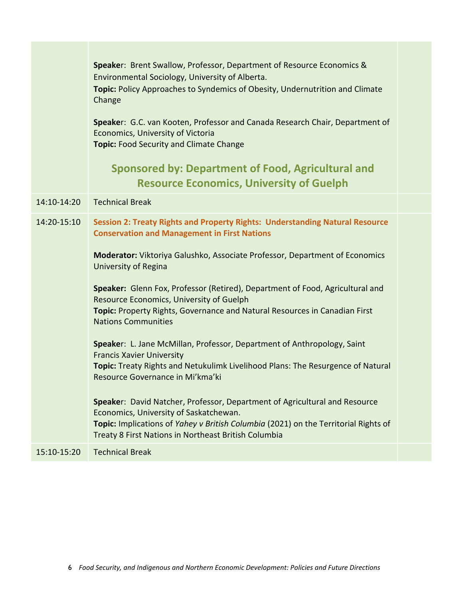| Speaker: Brent Swallow, Professor, Department of Resource Economics &<br>Environmental Sociology, University of Alberta.<br>Topic: Policy Approaches to Syndemics of Obesity, Undernutrition and Climate<br>Change<br>Speaker: G.C. van Kooten, Professor and Canada Research Chair, Department of<br>Economics, University of Victoria<br><b>Topic: Food Security and Climate Change</b>                                                                                                                                                                                                                                                                                                                                                                                                                                                                                                                                                                                                               |  |
|---------------------------------------------------------------------------------------------------------------------------------------------------------------------------------------------------------------------------------------------------------------------------------------------------------------------------------------------------------------------------------------------------------------------------------------------------------------------------------------------------------------------------------------------------------------------------------------------------------------------------------------------------------------------------------------------------------------------------------------------------------------------------------------------------------------------------------------------------------------------------------------------------------------------------------------------------------------------------------------------------------|--|
| <b>Sponsored by: Department of Food, Agricultural and</b><br><b>Resource Economics, University of Guelph</b>                                                                                                                                                                                                                                                                                                                                                                                                                                                                                                                                                                                                                                                                                                                                                                                                                                                                                            |  |
| <b>Technical Break</b>                                                                                                                                                                                                                                                                                                                                                                                                                                                                                                                                                                                                                                                                                                                                                                                                                                                                                                                                                                                  |  |
| Session 2: Treaty Rights and Property Rights: Understanding Natural Resource<br><b>Conservation and Management in First Nations</b><br><b>Moderator:</b> Viktoriya Galushko, Associate Professor, Department of Economics<br>University of Regina<br>Speaker: Glenn Fox, Professor (Retired), Department of Food, Agricultural and<br>Resource Economics, University of Guelph<br>Topic: Property Rights, Governance and Natural Resources in Canadian First<br><b>Nations Communities</b><br>Speaker: L. Jane McMillan, Professor, Department of Anthropology, Saint<br><b>Francis Xavier University</b><br>Topic: Treaty Rights and Netukulimk Livelihood Plans: The Resurgence of Natural<br>Resource Governance in Mi'kma'ki<br>Speaker: David Natcher, Professor, Department of Agricultural and Resource<br>Economics, University of Saskatchewan.<br>Topic: Implications of Yahey v British Columbia (2021) on the Territorial Rights of<br>Treaty 8 First Nations in Northeast British Columbia |  |
| <b>Technical Break</b>                                                                                                                                                                                                                                                                                                                                                                                                                                                                                                                                                                                                                                                                                                                                                                                                                                                                                                                                                                                  |  |
|                                                                                                                                                                                                                                                                                                                                                                                                                                                                                                                                                                                                                                                                                                                                                                                                                                                                                                                                                                                                         |  |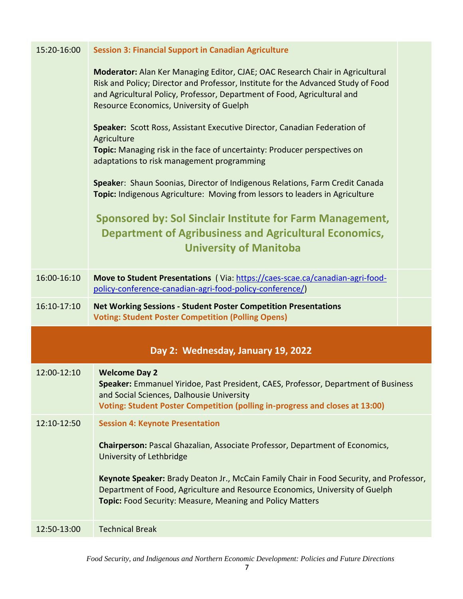| 15:20-16:00 | <b>Session 3: Financial Support in Canadian Agriculture</b>                                                                                                                                                                                                                                |  |  |  |
|-------------|--------------------------------------------------------------------------------------------------------------------------------------------------------------------------------------------------------------------------------------------------------------------------------------------|--|--|--|
|             | Moderator: Alan Ker Managing Editor, CJAE; OAC Research Chair in Agricultural<br>Risk and Policy; Director and Professor, Institute for the Advanced Study of Food<br>and Agricultural Policy, Professor, Department of Food, Agricultural and<br>Resource Economics, University of Guelph |  |  |  |
|             | Speaker: Scott Ross, Assistant Executive Director, Canadian Federation of<br>Agriculture<br>Topic: Managing risk in the face of uncertainty: Producer perspectives on<br>adaptations to risk management programming                                                                        |  |  |  |
|             | Speaker: Shaun Soonias, Director of Indigenous Relations, Farm Credit Canada<br>Topic: Indigenous Agriculture: Moving from lessors to leaders in Agriculture                                                                                                                               |  |  |  |
|             | <b>Sponsored by: Sol Sinclair Institute for Farm Management,</b><br><b>Department of Agribusiness and Agricultural Economics,</b><br><b>University of Manitoba</b>                                                                                                                         |  |  |  |
| 16:00-16:10 | Move to Student Presentations (Via: https://caes-scae.ca/canadian-agri-food-<br>policy-conference-canadian-agri-food-policy-conference/)                                                                                                                                                   |  |  |  |
| 16:10-17:10 | <b>Net Working Sessions - Student Poster Competition Presentations</b><br><b>Voting: Student Poster Competition (Polling Opens)</b>                                                                                                                                                        |  |  |  |
|             |                                                                                                                                                                                                                                                                                            |  |  |  |
|             | Day 2: Wednesday, January 19, 2022                                                                                                                                                                                                                                                         |  |  |  |
| 12:00-12:10 | <b>Welcome Day 2</b><br>Speaker: Emmanuel Yiridoe, Past President, CAES, Professor, Department of Business<br>and Social Sciences, Dalhousie University<br>Voting: Student Poster Competition (polling in-progress and closes at 13:00)                                                    |  |  |  |
| 12:10-12:50 | <b>Session 4: Keynote Presentation</b>                                                                                                                                                                                                                                                     |  |  |  |
|             | Chairperson: Pascal Ghazalian, Associate Professor, Department of Economics,<br>University of Lethbridge                                                                                                                                                                                   |  |  |  |
|             | Keynote Speaker: Brady Deaton Jr., McCain Family Chair in Food Security, and Professor,<br>Department of Food, Agriculture and Resource Economics, University of Guelph<br>Topic: Food Security: Measure, Meaning and Policy Matters                                                       |  |  |  |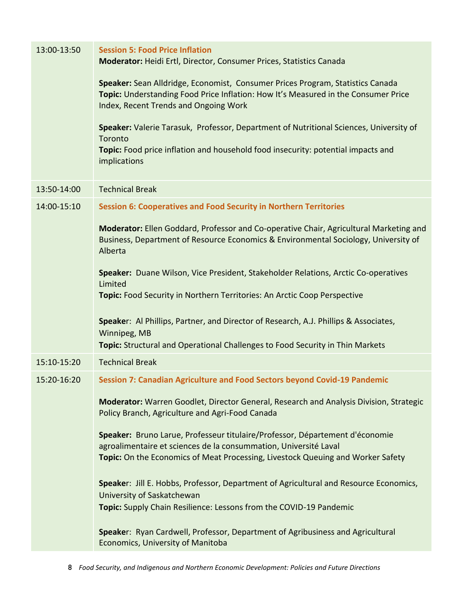| 13:00-13:50 | <b>Session 5: Food Price Inflation</b><br>Moderator: Heidi Ertl, Director, Consumer Prices, Statistics Canada                                                                                                                       |  |  |  |
|-------------|-------------------------------------------------------------------------------------------------------------------------------------------------------------------------------------------------------------------------------------|--|--|--|
|             | Speaker: Sean Alldridge, Economist, Consumer Prices Program, Statistics Canada<br>Topic: Understanding Food Price Inflation: How It's Measured in the Consumer Price<br>Index, Recent Trends and Ongoing Work                       |  |  |  |
|             | Speaker: Valerie Tarasuk, Professor, Department of Nutritional Sciences, University of<br>Toronto<br>Topic: Food price inflation and household food insecurity: potential impacts and<br>implications                               |  |  |  |
| 13:50-14:00 | <b>Technical Break</b>                                                                                                                                                                                                              |  |  |  |
| 14:00-15:10 | <b>Session 6: Cooperatives and Food Security in Northern Territories</b>                                                                                                                                                            |  |  |  |
|             | Moderator: Ellen Goddard, Professor and Co-operative Chair, Agricultural Marketing and<br>Business, Department of Resource Economics & Environmental Sociology, University of<br>Alberta                                            |  |  |  |
|             | Speaker: Duane Wilson, Vice President, Stakeholder Relations, Arctic Co-operatives<br>Limited                                                                                                                                       |  |  |  |
|             | Topic: Food Security in Northern Territories: An Arctic Coop Perspective                                                                                                                                                            |  |  |  |
|             | Speaker: Al Phillips, Partner, and Director of Research, A.J. Phillips & Associates,<br>Winnipeg, MB                                                                                                                                |  |  |  |
|             | Topic: Structural and Operational Challenges to Food Security in Thin Markets                                                                                                                                                       |  |  |  |
| 15:10-15:20 | <b>Technical Break</b>                                                                                                                                                                                                              |  |  |  |
| 15:20-16:20 | Session 7: Canadian Agriculture and Food Sectors beyond Covid-19 Pandemic                                                                                                                                                           |  |  |  |
|             | Moderator: Warren Goodlet, Director General, Research and Analysis Division, Strategic<br>Policy Branch, Agriculture and Agri-Food Canada                                                                                           |  |  |  |
|             | Speaker: Bruno Larue, Professeur titulaire/Professor, Département d'économie<br>agroalimentaire et sciences de la consummation, Université Laval<br>Topic: On the Economics of Meat Processing, Livestock Queuing and Worker Safety |  |  |  |
|             | Speaker: Jill E. Hobbs, Professor, Department of Agricultural and Resource Economics,<br>University of Saskatchewan                                                                                                                 |  |  |  |
|             | Topic: Supply Chain Resilience: Lessons from the COVID-19 Pandemic                                                                                                                                                                  |  |  |  |
|             | Speaker: Ryan Cardwell, Professor, Department of Agribusiness and Agricultural<br>Economics, University of Manitoba                                                                                                                 |  |  |  |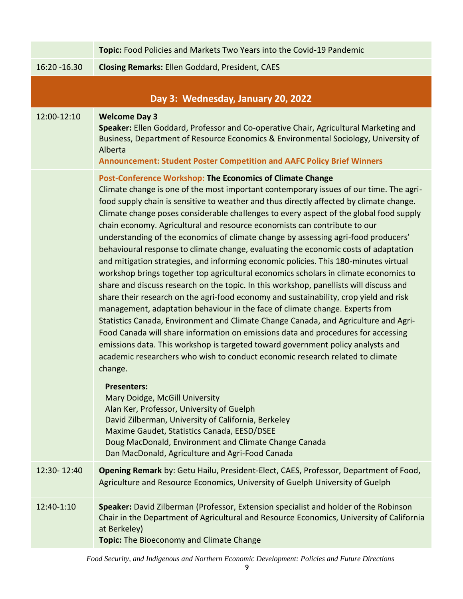|               | Topic: Food Policies and Markets Two Years into the Covid-19 Pandemic                                                                                                                                                                                                                                                                                                                                                                                                                                                                                                                                                                                                                                                                                                                                                                                                                                                                                                                                                                                                                                                                                                                                                                                                                                                                                                                                                                                                                                                                                                               |  |
|---------------|-------------------------------------------------------------------------------------------------------------------------------------------------------------------------------------------------------------------------------------------------------------------------------------------------------------------------------------------------------------------------------------------------------------------------------------------------------------------------------------------------------------------------------------------------------------------------------------------------------------------------------------------------------------------------------------------------------------------------------------------------------------------------------------------------------------------------------------------------------------------------------------------------------------------------------------------------------------------------------------------------------------------------------------------------------------------------------------------------------------------------------------------------------------------------------------------------------------------------------------------------------------------------------------------------------------------------------------------------------------------------------------------------------------------------------------------------------------------------------------------------------------------------------------------------------------------------------------|--|
| 16:20 - 16.30 | <b>Closing Remarks: Ellen Goddard, President, CAES</b>                                                                                                                                                                                                                                                                                                                                                                                                                                                                                                                                                                                                                                                                                                                                                                                                                                                                                                                                                                                                                                                                                                                                                                                                                                                                                                                                                                                                                                                                                                                              |  |
|               | Day 3: Wednesday, January 20, 2022                                                                                                                                                                                                                                                                                                                                                                                                                                                                                                                                                                                                                                                                                                                                                                                                                                                                                                                                                                                                                                                                                                                                                                                                                                                                                                                                                                                                                                                                                                                                                  |  |
| 12:00-12:10   | <b>Welcome Day 3</b><br>Speaker: Ellen Goddard, Professor and Co-operative Chair, Agricultural Marketing and<br>Business, Department of Resource Economics & Environmental Sociology, University of<br>Alberta<br><b>Announcement: Student Poster Competition and AAFC Policy Brief Winners</b>                                                                                                                                                                                                                                                                                                                                                                                                                                                                                                                                                                                                                                                                                                                                                                                                                                                                                                                                                                                                                                                                                                                                                                                                                                                                                     |  |
|               | <b>Post-Conference Workshop: The Economics of Climate Change</b><br>Climate change is one of the most important contemporary issues of our time. The agri-<br>food supply chain is sensitive to weather and thus directly affected by climate change.<br>Climate change poses considerable challenges to every aspect of the global food supply<br>chain economy. Agricultural and resource economists can contribute to our<br>understanding of the economics of climate change by assessing agri-food producers'<br>behavioural response to climate change, evaluating the economic costs of adaptation<br>and mitigation strategies, and informing economic policies. This 180-minutes virtual<br>workshop brings together top agricultural economics scholars in climate economics to<br>share and discuss research on the topic. In this workshop, panellists will discuss and<br>share their research on the agri-food economy and sustainability, crop yield and risk<br>management, adaptation behaviour in the face of climate change. Experts from<br>Statistics Canada, Environment and Climate Change Canada, and Agriculture and Agri-<br>Food Canada will share information on emissions data and procedures for accessing<br>emissions data. This workshop is targeted toward government policy analysts and<br>academic researchers who wish to conduct economic research related to climate<br>change.<br><b>Presenters:</b><br>Mary Doidge, McGill University<br>Alan Ker, Professor, University of Guelph<br>David Zilberman, University of California, Berkeley |  |
|               | Maxime Gaudet, Statistics Canada, EESD/DSEE<br>Doug MacDonald, Environment and Climate Change Canada<br>Dan MacDonald, Agriculture and Agri-Food Canada                                                                                                                                                                                                                                                                                                                                                                                                                                                                                                                                                                                                                                                                                                                                                                                                                                                                                                                                                                                                                                                                                                                                                                                                                                                                                                                                                                                                                             |  |
| 12:30-12:40   | Opening Remark by: Getu Hailu, President-Elect, CAES, Professor, Department of Food,<br>Agriculture and Resource Economics, University of Guelph University of Guelph                                                                                                                                                                                                                                                                                                                                                                                                                                                                                                                                                                                                                                                                                                                                                                                                                                                                                                                                                                                                                                                                                                                                                                                                                                                                                                                                                                                                               |  |
| 12:40-1:10    | Speaker: David Zilberman (Professor, Extension specialist and holder of the Robinson<br>Chair in the Department of Agricultural and Resource Economics, University of California<br>at Berkeley)<br><b>Topic:</b> The Bioeconomy and Climate Change                                                                                                                                                                                                                                                                                                                                                                                                                                                                                                                                                                                                                                                                                                                                                                                                                                                                                                                                                                                                                                                                                                                                                                                                                                                                                                                                 |  |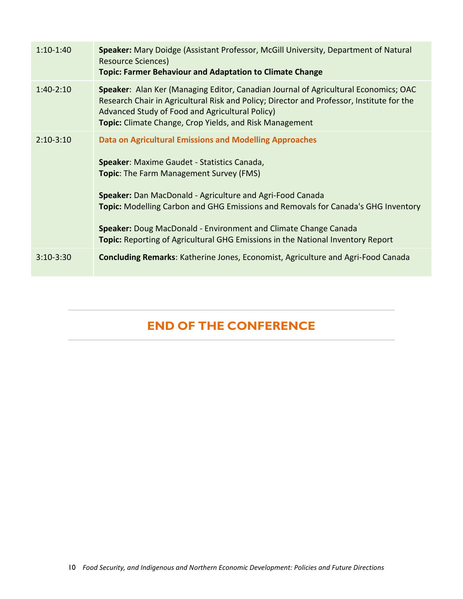| $1:10-1:40$   | Speaker: Mary Doidge (Assistant Professor, McGill University, Department of Natural<br><b>Resource Sciences)</b><br><b>Topic: Farmer Behaviour and Adaptation to Climate Change</b>                                                                                                                                                                                                                                                                                                          |
|---------------|----------------------------------------------------------------------------------------------------------------------------------------------------------------------------------------------------------------------------------------------------------------------------------------------------------------------------------------------------------------------------------------------------------------------------------------------------------------------------------------------|
| $1:40-2:10$   | Speaker: Alan Ker (Managing Editor, Canadian Journal of Agricultural Economics; OAC<br>Research Chair in Agricultural Risk and Policy; Director and Professor, Institute for the<br>Advanced Study of Food and Agricultural Policy)<br><b>Topic:</b> Climate Change, Crop Yields, and Risk Management                                                                                                                                                                                        |
| $2:10-3:10$   | <b>Data on Agricultural Emissions and Modelling Approaches</b><br>Speaker: Maxime Gaudet - Statistics Canada,<br><b>Topic:</b> The Farm Management Survey (FMS)<br>Speaker: Dan MacDonald - Agriculture and Agri-Food Canada<br><b>Topic: Modelling Carbon and GHG Emissions and Removals for Canada's GHG Inventory</b><br><b>Speaker:</b> Doug MacDonald - Environment and Climate Change Canada<br><b>Topic:</b> Reporting of Agricultural GHG Emissions in the National Inventory Report |
| $3:10 - 3:30$ | <b>Concluding Remarks:</b> Katherine Jones, Economist, Agriculture and Agri-Food Canada                                                                                                                                                                                                                                                                                                                                                                                                      |

# **END OF THE CONFERENCE**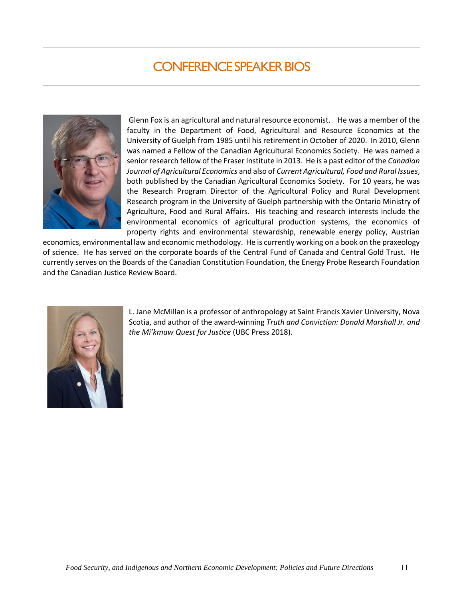# CONFERENCE SPEAKER BIOS

<span id="page-10-0"></span>

Glenn Fox is an agricultural and natural resource economist. He was a member of the faculty in the Department of Food, Agricultural and Resource Economics at the University of Guelph from 1985 until his retirement in October of 2020. In 2010, Glenn was named a Fellow of the Canadian Agricultural Economics Society. He was named a senior research fellow of the Fraser Institute in 2013. He is a past editor of the *Canadian Journal of Agricultural Economics* and also of *Current Agricultural, Food and Rural Issues*, both published by the Canadian Agricultural Economics Society. For 10 years, he was the Research Program Director of the Agricultural Policy and Rural Development Research program in the University of Guelph partnership with the Ontario Ministry of Agriculture, Food and Rural Affairs. His teaching and research interests include the environmental economics of agricultural production systems, the economics of property rights and environmental stewardship, renewable energy policy, Austrian

economics, environmental law and economic methodology. He is currently working on a book on the praxeology of science. He has served on the corporate boards of the Central Fund of Canada and Central Gold Trust. He currently serves on the Boards of the Canadian Constitution Foundation, the Energy Probe Research Foundation and the Canadian Justice Review Board.



L. Jane McMillan is a professor of anthropology at Saint Francis Xavier University, Nova Scotia, and author of the award-winning *Truth and Conviction: Donald Marshall Jr. and the Mi'kmaw Quest for Justice* (UBC Press 2018).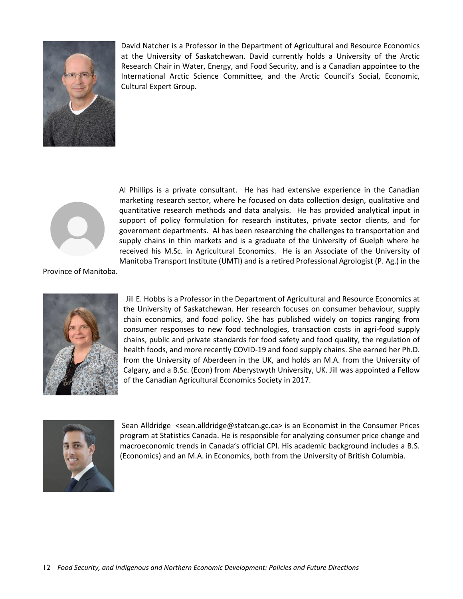

David Natcher is a Professor in the Department of Agricultural and Resource Economics at the University of Saskatchewan. David currently holds a University of the Arctic Research Chair in Water, Energy, and Food Security, and is a Canadian appointee to the International Arctic Science Committee, and the Arctic Council's Social, Economic, Cultural Expert Group.



Al Phillips is a private consultant. He has had extensive experience in the Canadian marketing research sector, where he focused on data collection design, qualitative and quantitative research methods and data analysis. He has provided analytical input in support of policy formulation for research institutes, private sector clients, and for government departments. Al has been researching the challenges to transportation and supply chains in thin markets and is a graduate of the University of Guelph where he received his M.Sc. in Agricultural Economics. He is an Associate of the University of Manitoba Transport Institute (UMTI) and is a retired Professional Agrologist (P. Ag.) in the

Province of Manitoba.



Jill E. Hobbs is a Professor in the Department of Agricultural and Resource Economics at the University of Saskatchewan. Her research focuses on consumer behaviour, supply chain economics, and food policy. She has published widely on topics ranging from consumer responses to new food technologies, transaction costs in agri-food supply chains, public and private standards for food safety and food quality, the regulation of health foods, and more recently COVID-19 and food supply chains. She earned her Ph.D. from the University of Aberdeen in the UK, and holds an M.A. from the University of Calgary, and a B.Sc. (Econ) from Aberystwyth University, UK. Jill was appointed a Fellow of the Canadian Agricultural Economics Society in 2017.



Sean Alldridge <sean.alldridge@statcan.gc.ca> is an Economist in the Consumer Prices program at Statistics Canada. He is responsible for analyzing consumer price change and macroeconomic trends in Canada's official CPI. His academic background includes a B.S. (Economics) and an M.A. in Economics, both from the University of British Columbia.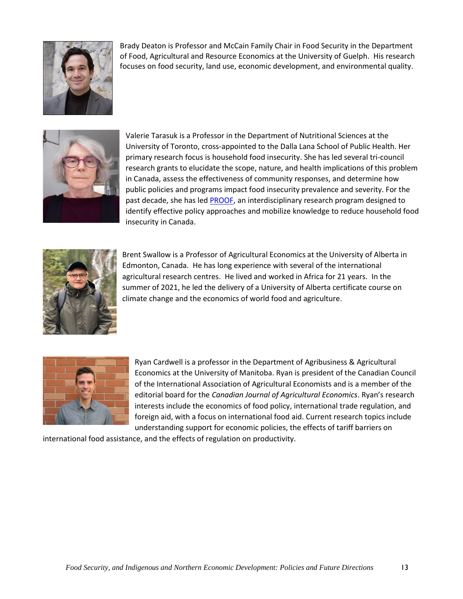

Brady Deaton is Professor and McCain Family Chair in Food Security in the Department of Food, Agricultural and Resource Economics at the University of Guelph. His research focuses on food security, land use, economic development, and environmental quality.



Valerie Tarasuk is a Professor in the Department of Nutritional Sciences at the University of Toronto, cross-appointed to the Dalla Lana School of Public Health. Her primary research focus is household food insecurity. She has led several tri-council research grants to elucidate the scope, nature, and health implications of this problem in Canada, assess the effectiveness of community responses, and determine how public policies and programs impact food insecurity prevalence and severity. For the past decade, she has le[d PROOF,](https://proof.utoronto.ca/) an interdisciplinary research program designed to identify effective policy approaches and mobilize knowledge to reduce household food insecurity in Canada.



Brent Swallow is a Professor of Agricultural Economics at the University of Alberta in Edmonton, Canada. He has long experience with several of the international agricultural research centres. He lived and worked in Africa for 21 years. In the summer of 2021, he led the delivery of a University of Alberta certificate course on climate change and the economics of world food and agriculture.



Ryan Cardwell is a professor in the Department of Agribusiness & Agricultural Economics at the University of Manitoba. Ryan is president of the Canadian Council of the International Association of Agricultural Economists and is a member of the editorial board for the *Canadian Journal of Agricultural Economics*. Ryan's research interests include the economics of food policy, international trade regulation, and foreign aid, with a focus on international food aid. Current research topics include understanding support for economic policies, the effects of tariff barriers on

international food assistance, and the effects of regulation on productivity.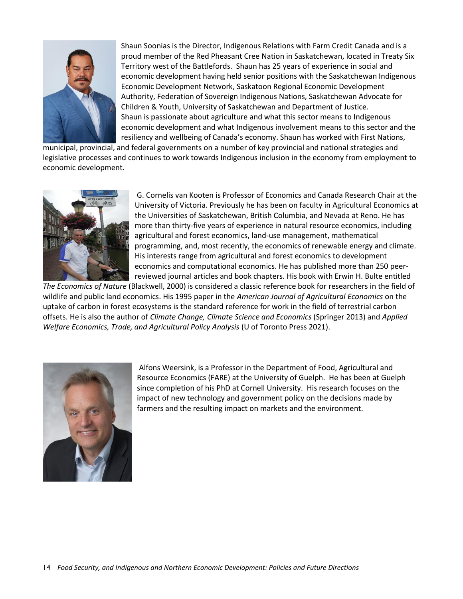

Shaun Soonias is the Director, Indigenous Relations with Farm Credit Canada and is a proud member of the Red Pheasant Cree Nation in Saskatchewan, located in Treaty Six Territory west of the Battlefords. Shaun has 25 years of experience in social and economic development having held senior positions with the Saskatchewan Indigenous Economic Development Network, Saskatoon Regional Economic Development Authority, Federation of Sovereign Indigenous Nations, Saskatchewan Advocate for Children & Youth, University of Saskatchewan and Department of Justice. Shaun is passionate about agriculture and what this sector means to Indigenous economic development and what Indigenous involvement means to this sector and the resiliency and wellbeing of Canada's economy. Shaun has worked with First Nations,

municipal, provincial, and federal governments on a number of key provincial and national strategies and legislative processes and continues to work towards Indigenous inclusion in the economy from employment to economic development.



G. Cornelis van Kooten is Professor of Economics and Canada Research Chair at the University of Victoria. Previously he has been on faculty in Agricultural Economics at the Universities of Saskatchewan, British Columbia, and Nevada at Reno. He has more than thirty-five years of experience in natural resource economics, including agricultural and forest economics, land-use management, mathematical programming, and, most recently, the economics of renewable energy and climate. His interests range from agricultural and forest economics to development economics and computational economics. He has published more than 250 peerreviewed journal articles and book chapters. His book with Erwin H. Bulte entitled

*The Economics of Nature* (Blackwell, 2000) is considered a classic reference book for researchers in the field of wildlife and public land economics. His 1995 paper in the *American Journal of Agricultural Economics* on the uptake of carbon in forest ecosystems is the standard reference for work in the field of terrestrial carbon offsets. He is also the author of *Climate Change, Climate Science and Economics* (Springer 2013) and *Applied Welfare Economics, Trade, and Agricultural Policy Analysis* (U of Toronto Press 2021).



Alfons Weersink, is a Professor in the Department of Food, Agricultural and Resource Economics (FARE) at the University of Guelph. He has been at Guelph since completion of his PhD at Cornell University. His research focuses on the impact of new technology and government policy on the decisions made by farmers and the resulting impact on markets and the environment.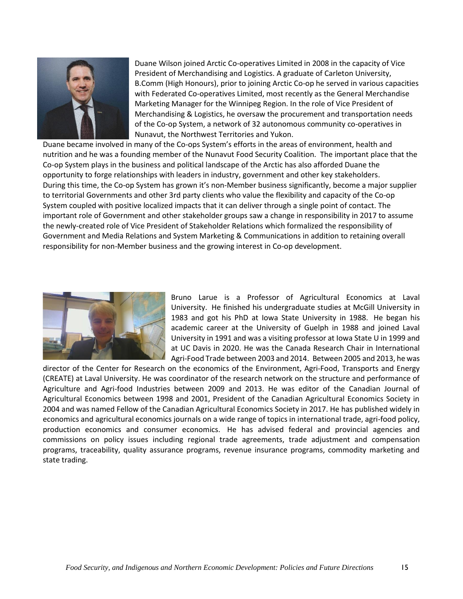

Duane Wilson joined Arctic Co-operatives Limited in 2008 in the capacity of Vice President of Merchandising and Logistics. A graduate of Carleton University, B.Comm (High Honours), prior to joining Arctic Co-op he served in various capacities with Federated Co-operatives Limited, most recently as the General Merchandise Marketing Manager for the Winnipeg Region. In the role of Vice President of Merchandising & Logistics, he oversaw the procurement and transportation needs of the Co-op System, a network of 32 autonomous community co-operatives in Nunavut, the Northwest Territories and Yukon.

Duane became involved in many of the Co-ops System's efforts in the areas of environment, health and nutrition and he was a founding member of the Nunavut Food Security Coalition. The important place that the Co-op System plays in the business and political landscape of the Arctic has also afforded Duane the opportunity to forge relationships with leaders in industry, government and other key stakeholders. During this time, the Co-op System has grown it's non-Member business significantly, become a major supplier to territorial Governments and other 3rd party clients who value the flexibility and capacity of the Co-op System coupled with positive localized impacts that it can deliver through a single point of contact. The important role of Government and other stakeholder groups saw a change in responsibility in 2017 to assume the newly-created role of Vice President of Stakeholder Relations which formalized the responsibility of Government and Media Relations and System Marketing & Communications in addition to retaining overall responsibility for non-Member business and the growing interest in Co-op development.



Bruno Larue is a Professor of Agricultural Economics at Laval University. He finished his undergraduate studies at McGill University in 1983 and got his PhD at Iowa State University in 1988. He began his academic career at the University of Guelph in 1988 and joined Laval University in 1991 and was a visiting professor at Iowa State U in 1999 and at UC Davis in 2020. He was the Canada Research Chair in International Agri-Food Trade between 2003 and 2014. Between 2005 and 2013, he was

director of the Center for Research on the economics of the Environment, Agri-Food, Transports and Energy (CREATE) at Laval University. He was coordinator of the research network on the structure and performance of Agriculture and Agri-food Industries between 2009 and 2013. He was editor of the Canadian Journal of Agricultural Economics between 1998 and 2001, President of the Canadian Agricultural Economics Society in 2004 and was named Fellow of the Canadian Agricultural Economics Society in 2017. He has published widely in economics and agricultural economics journals on a wide range of topics in international trade, agri-food policy, production economics and consumer economics. He has advised federal and provincial agencies and commissions on policy issues including regional trade agreements, trade adjustment and compensation programs, traceability, quality assurance programs, revenue insurance programs, commodity marketing and state trading.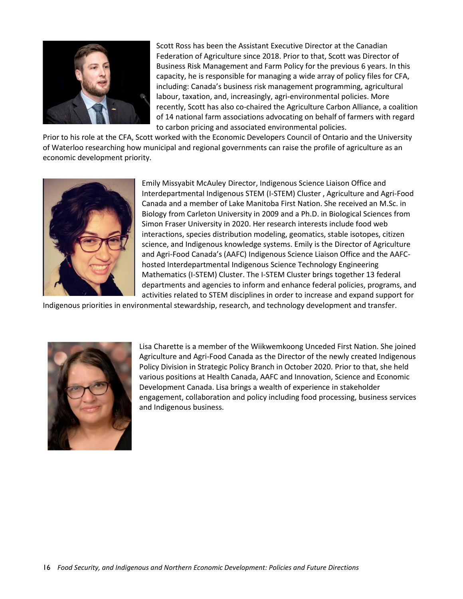

Scott Ross has been the Assistant Executive Director at the Canadian Federation of Agriculture since 2018. Prior to that, Scott was Director of Business Risk Management and Farm Policy for the previous 6 years. In this capacity, he is responsible for managing a wide array of policy files for CFA, including: Canada's business risk management programming, agricultural labour, taxation, and, increasingly, agri-environmental policies. More recently, Scott has also co-chaired the Agriculture Carbon Alliance, a coalition of 14 national farm associations advocating on behalf of farmers with regard to carbon pricing and associated environmental policies.

Prior to his role at the CFA, Scott worked with the Economic Developers Council of Ontario and the University of Waterloo researching how municipal and regional governments can raise the profile of agriculture as an economic development priority.



Emily Missyabit McAuley Director, Indigenous Science Liaison Office and Interdepartmental Indigenous STEM (I-STEM) Cluster , Agriculture and Agri-Food Canada and a member of Lake Manitoba First Nation. She received an M.Sc. in Biology from Carleton University in 2009 and a Ph.D. in Biological Sciences from Simon Fraser University in 2020. Her research interests include food web interactions, species distribution modeling, geomatics, stable isotopes, citizen science, and Indigenous knowledge systems. Emily is the Director of Agriculture and Agri-Food Canada's (AAFC) Indigenous Science Liaison Office and the AAFChosted Interdepartmental Indigenous Science Technology Engineering Mathematics (I-STEM) Cluster. The I-STEM Cluster brings together 13 federal departments and agencies to inform and enhance federal policies, programs, and activities related to STEM disciplines in order to increase and expand support for

Indigenous priorities in environmental stewardship, research, and technology development and transfer.



Lisa Charette is a member of the Wiikwemkoong Unceded First Nation. She joined Agriculture and Agri-Food Canada as the Director of the newly created Indigenous Policy Division in Strategic Policy Branch in October 2020. Prior to that, she held various positions at Health Canada, AAFC and Innovation, Science and Economic Development Canada. Lisa brings a wealth of experience in stakeholder engagement, collaboration and policy including food processing, business services and Indigenous business.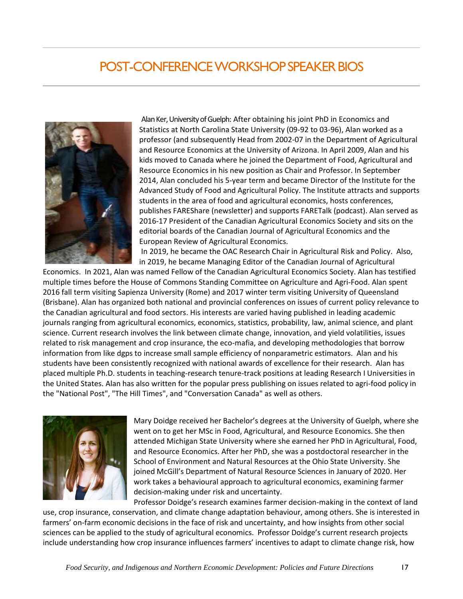# POST-CONFERENCE WORKSHOP SPEAKER BIOS



Alan Ker, University of Guelph: After obtaining his joint PhD in Economics and Statistics at North Carolina State University (09-92 to 03-96), Alan worked as a professor (and subsequently Head from 2002-07 in the Department of Agricultural and Resource Economics at the University of Arizona. In April 2009, Alan and his kids moved to Canada where he joined the Department of Food, Agricultural and Resource Economics in his new position as Chair and Professor. In September 2014, Alan concluded his 5-year term and became Director of the Institute for the Advanced Study of Food and Agricultural Policy. The Institute attracts and supports students in the area of food and agricultural economics, hosts conferences, publishes FAREShare (newsletter) and supports FARETalk (podcast). Alan served as 2016-17 President of the Canadian Agricultural Economics Society and sits on the editorial boards of the Canadian Journal of Agricultural Economics and the European Review of Agricultural Economics.

In 2019, he became the OAC Research Chair in Agricultural Risk and Policy. Also, in 2019, he became Managing Editor of the Canadian Journal of Agricultural

Economics. In 2021, Alan was named Fellow of the Canadian Agricultural Economics Society. Alan has testified multiple times before the House of Commons Standing Committee on Agriculture and Agri-Food. Alan spent 2016 fall term visiting Sapienza University (Rome) and 2017 winter term visiting University of Queensland (Brisbane). Alan has organized both national and provincial conferences on issues of current policy relevance to the Canadian agricultural and food sectors. His interests are varied having published in leading academic journals ranging from agricultural economics, economics, statistics, probability, law, animal science, and plant science. Current research involves the link between climate change, innovation, and yield volatilities, issues related to risk management and crop insurance, the eco-mafia, and developing methodologies that borrow information from like dgps to increase small sample efficiency of nonparametric estimators. Alan and his students have been consistently recognized with national awards of excellence for their research. Alan has placed multiple Ph.D. students in teaching-research tenure-track positions at leading Research I Universities in the United States. Alan has also written for the popular press publishing on issues related to agri-food policy in the "National Post", "The Hill Times", and "Conversation Canada" as well as others.



Mary Doidge received her Bachelor's degrees at the University of Guelph, where she went on to get her MSc in Food, Agricultural, and Resource Economics. She then attended Michigan State University where she earned her PhD in Agricultural, Food, and Resource Economics. After her PhD, she was a postdoctoral researcher in the School of Environment and Natural Resources at the Ohio State University. She joined McGill's Department of Natural Resource Sciences in January of 2020. Her work takes a behavioural approach to agricultural economics, examining farmer decision-making under risk and uncertainty.

Professor Doidge's research examines farmer decision-making in the context of land use, crop insurance, conservation, and climate change adaptation behaviour, among others. She is interested in farmers' on-farm economic decisions in the face of risk and uncertainty, and how insights from other social sciences can be applied to the study of agricultural economics. Professor Doidge's current research projects include understanding how crop insurance influences farmers' incentives to adapt to climate change risk, how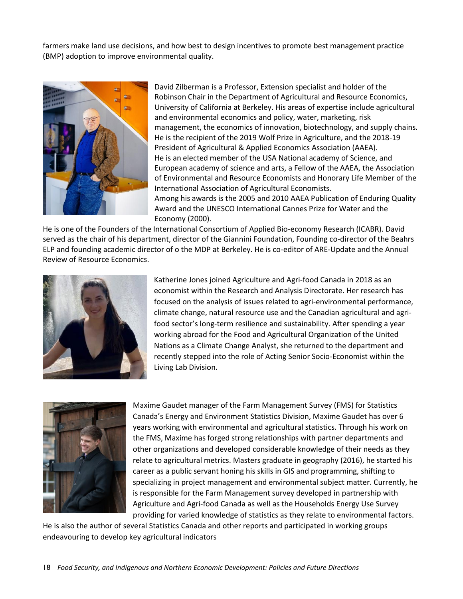farmers make land use decisions, and how best to design incentives to promote best management practice (BMP) adoption to improve environmental quality.



David Zilberman is a Professor, Extension specialist and holder of the Robinson Chair in the Department of Agricultural and Resource Economics, University of California at Berkeley. His areas of expertise include agricultural and environmental economics and policy, water, marketing, risk management, the economics of innovation, biotechnology, and supply chains. He is the recipient of the 2019 Wolf Prize in Agriculture, and the 2018-19 President of Agricultural & Applied Economics Association (AAEA). He is an elected member of the USA National academy of Science, and European academy of science and arts, a Fellow of the AAEA, the Association of Environmental and Resource Economists and Honorary Life Member of the International Association of Agricultural Economists. Among his awards is the 2005 and 2010 AAEA Publication of Enduring Quality

Award and the UNESCO International Cannes Prize for Water and the Economy (2000).

He is one of the Founders of the International Consortium of Applied Bio-economy Research (ICABR). David served as the chair of his department, director of the Giannini Foundation, Founding co-director of the Beahrs ELP and founding academic director of o the MDP at Berkeley. He is co-editor of ARE-Update and the Annual Review of Resource Economics.



Katherine Jones joined Agriculture and Agri-food Canada in 2018 as an economist within the Research and Analysis Directorate. Her research has focused on the analysis of issues related to agri-environmental performance, climate change, natural resource use and the Canadian agricultural and agrifood sector's long-term resilience and sustainability. After spending a year working abroad for the Food and Agricultural Organization of the United Nations as a Climate Change Analyst, she returned to the department and recently stepped into the role of Acting Senior Socio-Economist within the Living Lab Division.



Maxime Gaudet manager of the Farm Management Survey (FMS) for Statistics Canada's Energy and Environment Statistics Division, Maxime Gaudet has over 6 years working with environmental and agricultural statistics. Through his work on the FMS, Maxime has forged strong relationships with partner departments and other organizations and developed considerable knowledge of their needs as they relate to agricultural metrics. Masters graduate in geography (2016), he started his career as a public servant honing his skills in GIS and programming, shifting to specializing in project management and environmental subject matter. Currently, he is responsible for the Farm Management survey developed in partnership with Agriculture and Agri-food Canada as well as the Households Energy Use Survey providing for varied knowledge of statistics as they relate to environmental factors.

He is also the author of several Statistics Canada and other reports and participated in working groups endeavouring to develop key agricultural indicators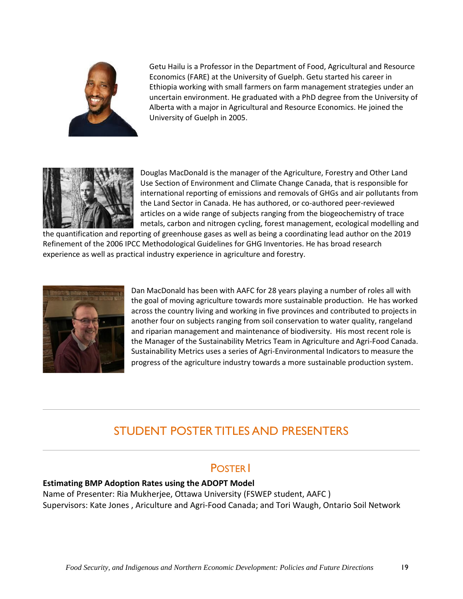

Getu Hailu is a Professor in the Department of Food, Agricultural and Resource Economics (FARE) at the University of Guelph. Getu started his career in Ethiopia working with small farmers on farm management strategies under an uncertain environment. He graduated with a PhD degree from the University of Alberta with a major in Agricultural and Resource Economics. He joined the University of Guelph in 2005.



Douglas MacDonald is the manager of the Agriculture, Forestry and Other Land Use Section of Environment and Climate Change Canada, that is responsible for international reporting of emissions and removals of GHGs and air pollutants from the Land Sector in Canada. He has authored, or co-authored peer-reviewed articles on a wide range of subjects ranging from the biogeochemistry of trace metals, carbon and nitrogen cycling, forest management, ecological modelling and

the quantification and reporting of greenhouse gases as well as being a coordinating lead author on the 2019 Refinement of the 2006 IPCC Methodological Guidelines for GHG Inventories. He has broad research experience as well as practical industry experience in agriculture and forestry.



Dan MacDonald has been with AAFC for 28 years playing a number of roles all with the goal of moving agriculture towards more sustainable production. He has worked across the country living and working in five provinces and contributed to projects in another four on subjects ranging from soil conservation to water quality, rangeland and riparian management and maintenance of biodiversity. His most recent role is the Manager of the Sustainability Metrics Team in Agriculture and Agri-Food Canada. Sustainability Metrics uses a series of Agri-Environmental Indicators to measure the progress of the agriculture industry towards a more sustainable production system.

# STUDENT POSTER TITLES AND PRESENTERS

#### POSTER<sup>1</sup>

#### **Estimating BMP Adoption Rates using the ADOPT Model**

Name of Presenter: Ria Mukherjee, Ottawa University (FSWEP student, AAFC ) Supervisors: Kate Jones , Ariculture and Agri-Food Canada; and Tori Waugh, Ontario Soil Network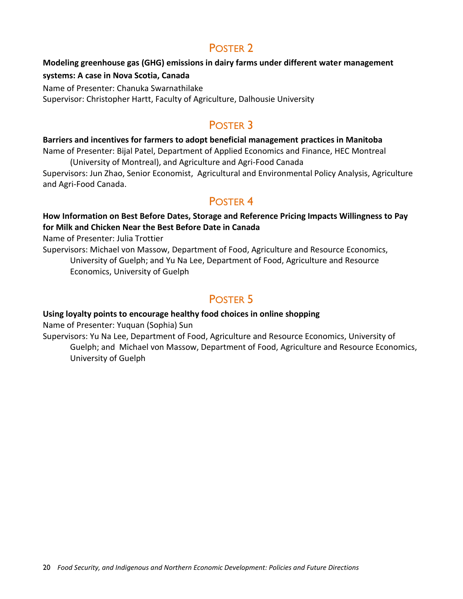#### POSTER 2

# **Modeling greenhouse gas (GHG) emissions in dairy farms under different water management**

#### **systems: A case in Nova Scotia, Canada**

Name of Presenter: Chanuka Swarnathilake Supervisor: Christopher Hartt, Faculty of Agriculture, Dalhousie University

#### POSTER 3

#### **Barriers and incentives for farmers to adopt beneficial management practices in Manitoba**

Name of Presenter: Bijal Patel, Department of Applied Economics and Finance, HEC Montreal (University of Montreal), and Agriculture and Agri-Food Canada

Supervisors: Jun Zhao, Senior Economist, Agricultural and Environmental Policy Analysis, Agriculture and Agri-Food Canada.

#### POSTER 4

#### **How Information on Best Before Dates, Storage and Reference Pricing Impacts Willingness to Pay for Milk and Chicken Near the Best Before Date in Canada**

Name of Presenter: Julia Trottier

Supervisors: Michael von Massow, Department of Food, Agriculture and Resource Economics, University of Guelph; and Yu Na Lee, Department of Food, Agriculture and Resource Economics, University of Guelph

#### POSTER 5

#### **Using loyalty points to encourage healthy food choices in online shopping**

Name of Presenter: Yuquan (Sophia) Sun

Supervisors: Yu Na Lee, Department of Food, Agriculture and Resource Economics, University of Guelph; and Michael von Massow, Department of Food, Agriculture and Resource Economics, University of Guelph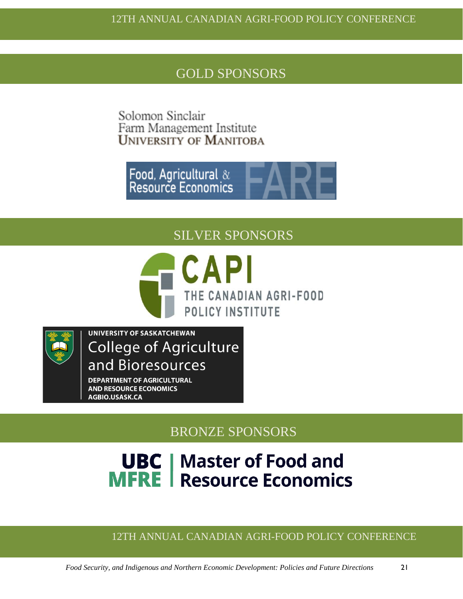### GOLD SPONSORS

Solomon Sinclair Farm Management Institute<br>UNIVERSITY OF MANITOBA

Food, Agricultural &<br>Resource Economics

SILVER SPONSORS





**UNIVERSITY OF SASKATCHEWAN College of Agriculture** and Bioresources

**DEPARTMENT OF AGRICULTURAL AND RESOURCE ECONOMICS** AGBIO.USASK.CA

BRONZE SPONSORS

# **UBC** | Master of Food and<br>MFRE | Resource Economics

#### 12TH ANNUAL CANADIAN AGRI-FOOD POLICY CONFERENCE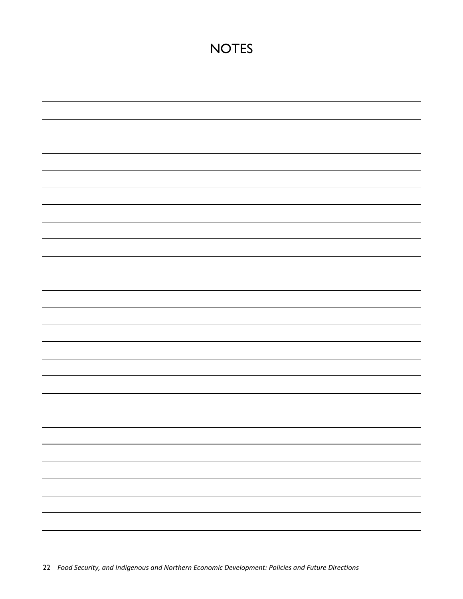# **NOTES**